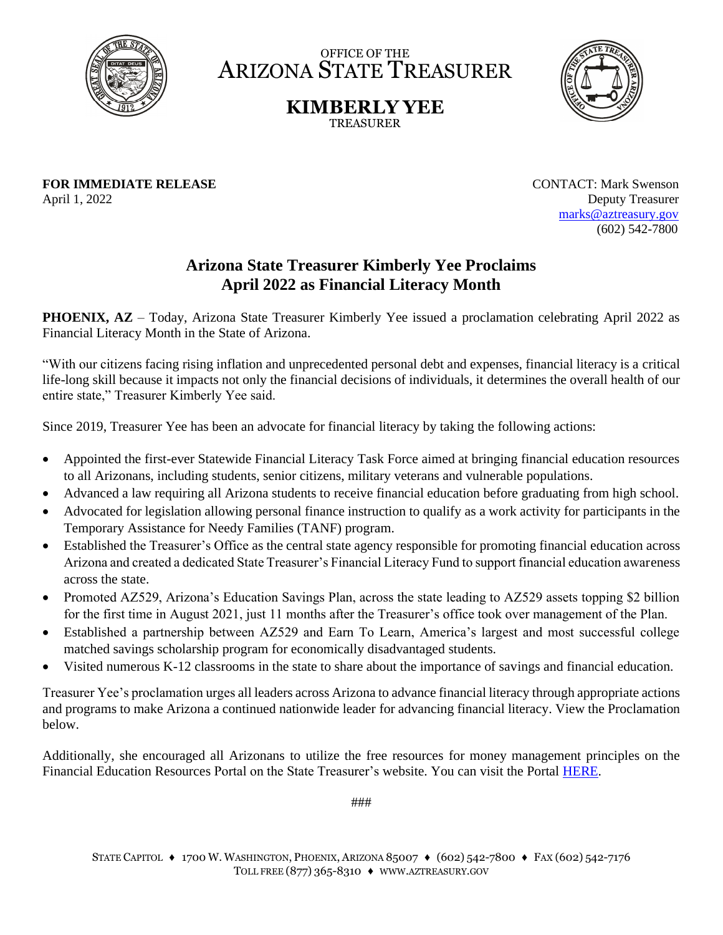

OFFICE OF THE ARIZONA STATE TREASURER

> **KIMBERLY YEE** TREASURER



**FOR IMMEDIATE RELEASE CONTACT:** Mark Swenson April 1, 2022 Deputy Treasurer

 [marks@aztreasury.gov](mailto:marks@aztreasury.gov) (602) 542-7800

## **Arizona State Treasurer Kimberly Yee Proclaims April 2022 as Financial Literacy Month**

**PHOENIX, AZ** – Today, Arizona State Treasurer Kimberly Yee issued a proclamation celebrating April 2022 as Financial Literacy Month in the State of Arizona.

"With our citizens facing rising inflation and unprecedented personal debt and expenses, financial literacy is a critical life-long skill because it impacts not only the financial decisions of individuals, it determines the overall health of our entire state," Treasurer Kimberly Yee said.

Since 2019, Treasurer Yee has been an advocate for financial literacy by taking the following actions:

- Appointed the first-ever Statewide Financial Literacy Task Force aimed at bringing financial education resources to all Arizonans, including students, senior citizens, military veterans and vulnerable populations.
- Advanced a law requiring all Arizona students to receive financial education before graduating from high school.
- Advocated for legislation allowing personal finance instruction to qualify as a work activity for participants in the Temporary Assistance for Needy Families (TANF) program.
- Established the Treasurer's Office as the central state agency responsible for promoting financial education across Arizona and created a dedicated State Treasurer's Financial Literacy Fund to support financial education awareness across the state.
- Promoted AZ529, Arizona's Education Savings Plan, across the state leading to AZ529 assets topping \$2 billion for the first time in August 2021, just 11 months after the Treasurer's office took over management of the Plan.
- Established a partnership between AZ529 and Earn To Learn, America's largest and most successful college matched savings scholarship program for economically disadvantaged students.
- Visited numerous K-12 classrooms in the state to share about the importance of savings and financial education.

Treasurer Yee's proclamation urges all leaders across Arizona to advance financial literacy through appropriate actions and programs to make Arizona a continued nationwide leader for advancing financial literacy. View the Proclamation below.

Additionally, she encouraged all Arizonans to utilize the free resources for money management principles on the Financial Education Resources Portal on the State Treasurer's website. You can visit the Portal [HERE.](https://www.aztreasury.gov/financial-education)

###